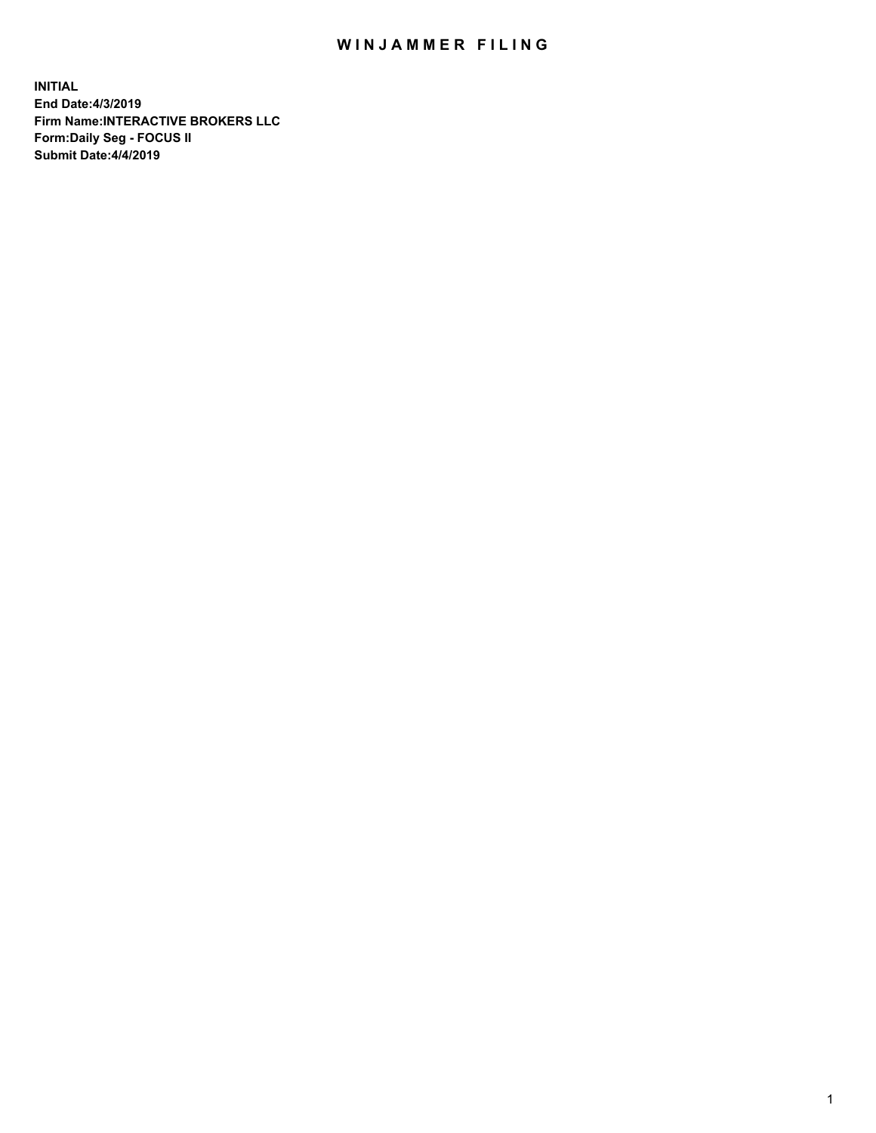## WIN JAMMER FILING

**INITIAL End Date:4/3/2019 Firm Name:INTERACTIVE BROKERS LLC Form:Daily Seg - FOCUS II Submit Date:4/4/2019**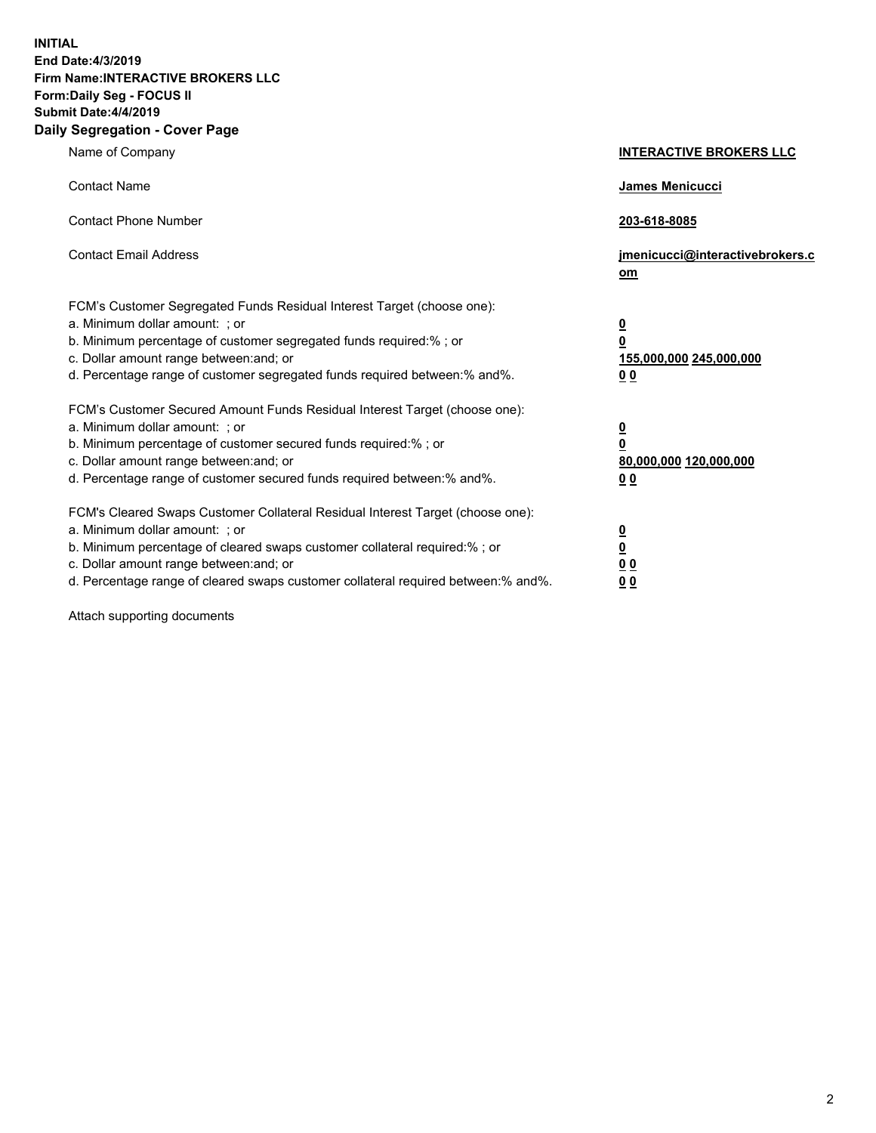**INITIAL End Date:4/3/2019 Firm Name:INTERACTIVE BROKERS LLC Form:Daily Seg - FOCUS II Submit Date:4/4/2019 Daily Segregation - Cover Page**

| Name of Company                                                                                                                                                                                                                                                                                                                | <b>INTERACTIVE BROKERS LLC</b>                                                      |
|--------------------------------------------------------------------------------------------------------------------------------------------------------------------------------------------------------------------------------------------------------------------------------------------------------------------------------|-------------------------------------------------------------------------------------|
| <b>Contact Name</b>                                                                                                                                                                                                                                                                                                            | James Menicucci                                                                     |
| <b>Contact Phone Number</b>                                                                                                                                                                                                                                                                                                    | 203-618-8085                                                                        |
| <b>Contact Email Address</b>                                                                                                                                                                                                                                                                                                   | jmenicucci@interactivebrokers.c<br>om                                               |
| FCM's Customer Segregated Funds Residual Interest Target (choose one):<br>a. Minimum dollar amount: ; or<br>b. Minimum percentage of customer segregated funds required:% ; or<br>c. Dollar amount range between: and; or<br>d. Percentage range of customer segregated funds required between:% and%.                         | $\overline{\mathbf{0}}$<br>$\overline{\mathbf{0}}$<br>155,000,000 245,000,000<br>00 |
| FCM's Customer Secured Amount Funds Residual Interest Target (choose one):<br>a. Minimum dollar amount: ; or<br>b. Minimum percentage of customer secured funds required:% ; or<br>c. Dollar amount range between: and; or<br>d. Percentage range of customer secured funds required between:% and%.                           | $\overline{\mathbf{0}}$<br>$\pmb{0}$<br>80,000,000 120,000,000<br>00                |
| FCM's Cleared Swaps Customer Collateral Residual Interest Target (choose one):<br>a. Minimum dollar amount: ; or<br>b. Minimum percentage of cleared swaps customer collateral required:% ; or<br>c. Dollar amount range between: and; or<br>d. Percentage range of cleared swaps customer collateral required between:% and%. | $\overline{\mathbf{0}}$<br>$\underline{\mathbf{0}}$<br>0 <sub>0</sub><br>00         |

Attach supporting documents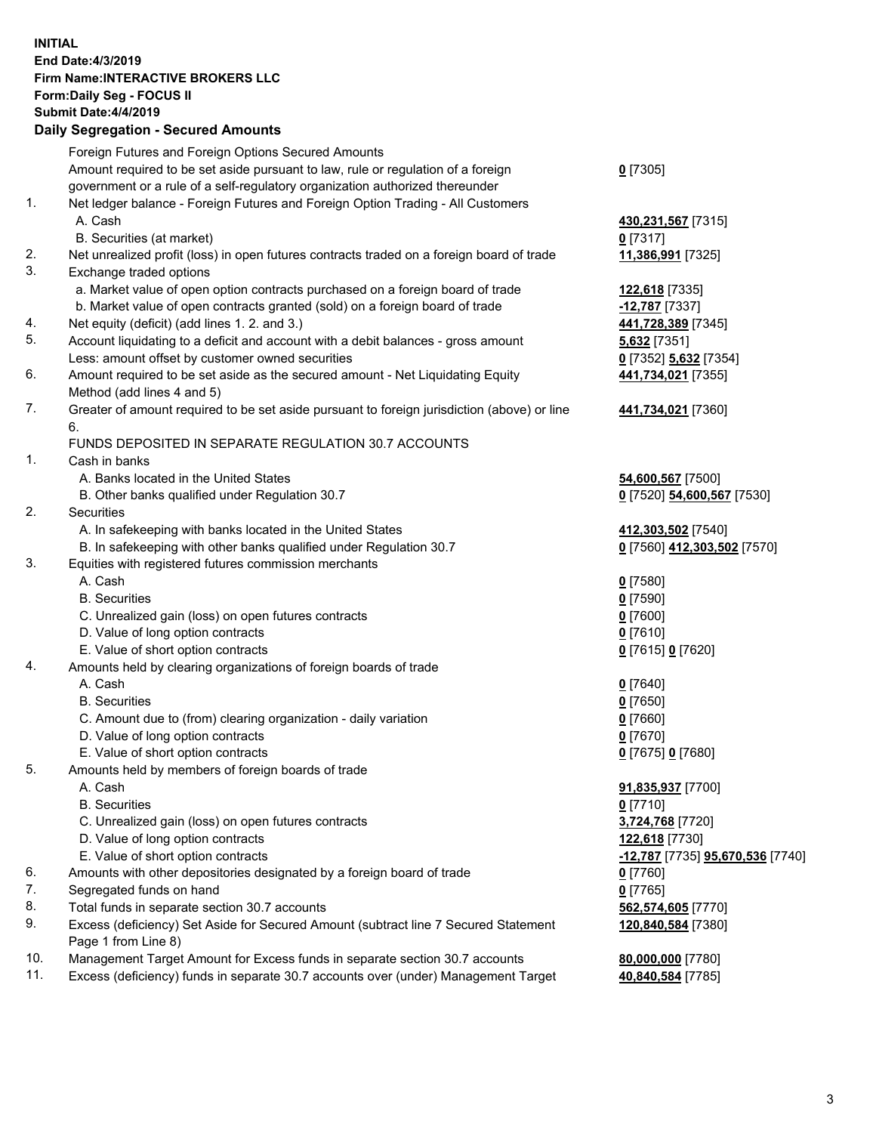## **INITIAL End Date:4/3/2019 Firm Name:INTERACTIVE BROKERS LLC Form:Daily Seg - FOCUS II Submit Date:4/4/2019 Daily Segregation - Secured Amounts**

|     | Pany Obyroganon Oboaroa Annoann                                                                            |                                                      |
|-----|------------------------------------------------------------------------------------------------------------|------------------------------------------------------|
|     | Foreign Futures and Foreign Options Secured Amounts                                                        |                                                      |
|     | Amount required to be set aside pursuant to law, rule or regulation of a foreign                           | $0$ [7305]                                           |
|     | government or a rule of a self-regulatory organization authorized thereunder                               |                                                      |
| 1.  | Net ledger balance - Foreign Futures and Foreign Option Trading - All Customers                            |                                                      |
|     | A. Cash                                                                                                    | 430,231,567 [7315]                                   |
|     | B. Securities (at market)                                                                                  | $0$ [7317]                                           |
| 2.  | Net unrealized profit (loss) in open futures contracts traded on a foreign board of trade                  | 11,386,991 [7325]                                    |
| 3.  | Exchange traded options                                                                                    |                                                      |
|     | a. Market value of open option contracts purchased on a foreign board of trade                             | 122,618 [7335]                                       |
|     | b. Market value of open contracts granted (sold) on a foreign board of trade                               | -12,787 [7337]                                       |
| 4.  | Net equity (deficit) (add lines 1. 2. and 3.)                                                              | 441,728,389 [7345]                                   |
| 5.  | Account liquidating to a deficit and account with a debit balances - gross amount                          | 5,632 [7351]                                         |
|     | Less: amount offset by customer owned securities                                                           | 0 [7352] 5,632 [7354]                                |
| 6.  | Amount required to be set aside as the secured amount - Net Liquidating Equity                             | 441,734,021 [7355]                                   |
|     | Method (add lines 4 and 5)                                                                                 |                                                      |
| 7.  | Greater of amount required to be set aside pursuant to foreign jurisdiction (above) or line<br>6.          | 441,734,021 [7360]                                   |
|     | FUNDS DEPOSITED IN SEPARATE REGULATION 30.7 ACCOUNTS                                                       |                                                      |
| 1.  | Cash in banks                                                                                              |                                                      |
|     | A. Banks located in the United States                                                                      | 54,600,567 [7500]                                    |
|     | B. Other banks qualified under Regulation 30.7                                                             | 0 [7520] 54,600,567 [7530]                           |
| 2.  | Securities                                                                                                 |                                                      |
|     | A. In safekeeping with banks located in the United States                                                  | 412,303,502 [7540]                                   |
|     | B. In safekeeping with other banks qualified under Regulation 30.7                                         | 0 [7560] 412,303,502 [7570]                          |
| 3.  | Equities with registered futures commission merchants                                                      |                                                      |
|     | A. Cash                                                                                                    | $0$ [7580]                                           |
|     | <b>B.</b> Securities                                                                                       | $0$ [7590]                                           |
|     | C. Unrealized gain (loss) on open futures contracts                                                        | $0$ [7600]                                           |
|     | D. Value of long option contracts                                                                          | $0$ [7610]                                           |
|     | E. Value of short option contracts                                                                         | 0 [7615] 0 [7620]                                    |
| 4.  | Amounts held by clearing organizations of foreign boards of trade                                          |                                                      |
|     | A. Cash                                                                                                    | $0$ [7640]                                           |
|     | <b>B.</b> Securities                                                                                       | $0$ [7650]                                           |
|     | C. Amount due to (from) clearing organization - daily variation                                            | $0$ [7660]                                           |
|     | D. Value of long option contracts                                                                          | $0$ [7670]                                           |
|     | E. Value of short option contracts                                                                         | 0 [7675] 0 [7680]                                    |
| 5.  | Amounts held by members of foreign boards of trade                                                         |                                                      |
|     | A. Cash                                                                                                    | 91,835,937 [7700]                                    |
|     | <b>B.</b> Securities                                                                                       | $0$ [7710]                                           |
|     | C. Unrealized gain (loss) on open futures contracts                                                        | 3,724,768 [7720]                                     |
|     | D. Value of long option contracts                                                                          | 122,618 [7730]                                       |
|     | E. Value of short option contracts                                                                         | <mark>-12,787</mark> [7735] <b>95,670,536</b> [7740] |
| 6.  | Amounts with other depositories designated by a foreign board of trade                                     | $0$ [7760]                                           |
| 7.  | Segregated funds on hand                                                                                   | $0$ [7765]                                           |
| 8.  | Total funds in separate section 30.7 accounts                                                              | 562,574,605 [7770]                                   |
| 9.  | Excess (deficiency) Set Aside for Secured Amount (subtract line 7 Secured Statement<br>Page 1 from Line 8) | 120,840,584 [7380]                                   |
| 10. | Management Target Amount for Excess funds in separate section 30.7 accounts                                | 80,000,000 [7780]                                    |
| 11. | Excess (deficiency) funds in separate 30.7 accounts over (under) Management Target                         | 40,840,584 [7785]                                    |
|     |                                                                                                            |                                                      |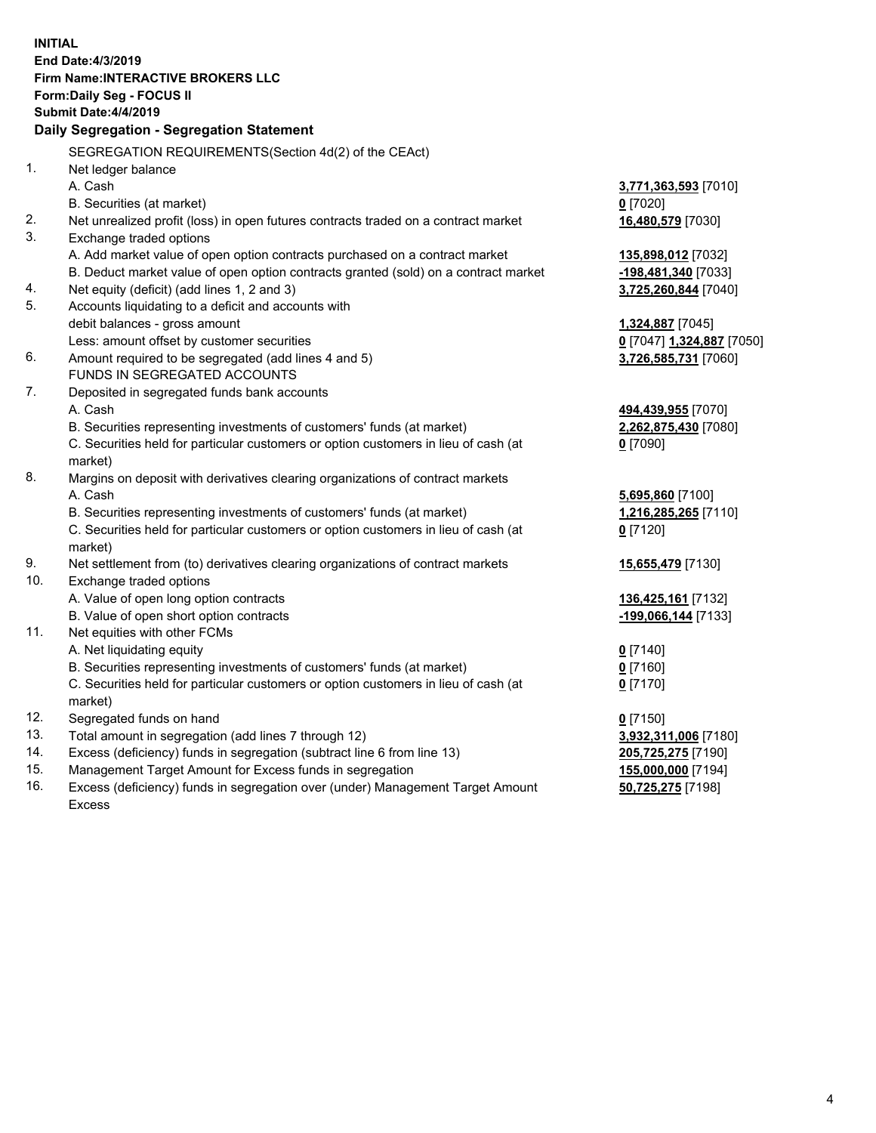|     | <b>INITIAL</b>                                                                      |                           |
|-----|-------------------------------------------------------------------------------------|---------------------------|
|     | End Date: 4/3/2019                                                                  |                           |
|     | <b>Firm Name: INTERACTIVE BROKERS LLC</b>                                           |                           |
|     | Form: Daily Seg - FOCUS II                                                          |                           |
|     | <b>Submit Date: 4/4/2019</b>                                                        |                           |
|     | Daily Segregation - Segregation Statement                                           |                           |
|     | SEGREGATION REQUIREMENTS(Section 4d(2) of the CEAct)                                |                           |
| 1.  | Net ledger balance                                                                  |                           |
|     | A. Cash                                                                             | 3,771,363,593 [7010]      |
|     | B. Securities (at market)                                                           | $0$ [7020]                |
| 2.  | Net unrealized profit (loss) in open futures contracts traded on a contract market  | 16,480,579 [7030]         |
| 3.  | Exchange traded options                                                             |                           |
|     | A. Add market value of open option contracts purchased on a contract market         | 135,898,012 [7032]        |
|     | B. Deduct market value of open option contracts granted (sold) on a contract market | -198,481,340 [7033]       |
| 4.  | Net equity (deficit) (add lines 1, 2 and 3)                                         | 3,725,260,844 [7040]      |
| 5.  | Accounts liquidating to a deficit and accounts with                                 |                           |
|     | debit balances - gross amount                                                       | 1,324,887 [7045]          |
|     | Less: amount offset by customer securities                                          | 0 [7047] 1,324,887 [7050] |
| 6.  | Amount required to be segregated (add lines 4 and 5)                                | 3,726,585,731 [7060]      |
|     | FUNDS IN SEGREGATED ACCOUNTS                                                        |                           |
| 7.  | Deposited in segregated funds bank accounts                                         |                           |
|     | A. Cash                                                                             | 494,439,955 [7070]        |
|     | B. Securities representing investments of customers' funds (at market)              | 2,262,875,430 [7080]      |
|     | C. Securities held for particular customers or option customers in lieu of cash (at | $0$ [7090]                |
|     | market)                                                                             |                           |
| 8.  | Margins on deposit with derivatives clearing organizations of contract markets      |                           |
|     | A. Cash                                                                             | 5,695,860 [7100]          |
|     | B. Securities representing investments of customers' funds (at market)              | 1,216,285,265 [7110]      |
|     | C. Securities held for particular customers or option customers in lieu of cash (at | $0$ [7120]                |
|     | market)                                                                             |                           |
| 9.  | Net settlement from (to) derivatives clearing organizations of contract markets     | 15,655,479 [7130]         |
| 10. | Exchange traded options                                                             |                           |
|     | A. Value of open long option contracts                                              | 136,425,161 [7132]        |
|     | B. Value of open short option contracts                                             | -199,066,144 [7133]       |
| 11. | Net equities with other FCMs                                                        |                           |
|     | A. Net liquidating equity                                                           | $0$ [7140]                |
|     | B. Securities representing investments of customers' funds (at market)              | $0$ [7160]                |
|     | C. Securities held for particular customers or option customers in lieu of cash (at | $0$ [7170]                |
|     | market)                                                                             |                           |
| 12. | Segregated funds on hand                                                            | $0$ [7150]                |
| 13. | Total amount in segregation (add lines 7 through 12)                                | 3,932,311,006 [7180]      |
| 14. | Excess (deficiency) funds in segregation (subtract line 6 from line 13)             | 205,725,275 [7190]        |
| 15. | Management Target Amount for Excess funds in segregation                            | 155,000,000 [7194]        |
| 16. | Excess (deficiency) funds in segregation over (under) Management Target Amount      | 50,725,275 [7198]         |

16. Excess (deficiency) funds in segregation over (under) Management Target Amount Excess